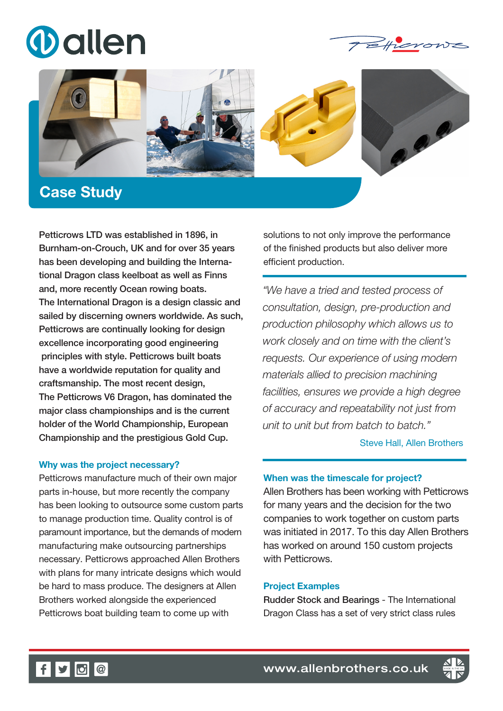





# Case Study

Petticrows LTD was established in 1896, in Burnham-on-Crouch, UK and for over 35 years has been developing and building the International Dragon class keelboat as well as Finns and, more recently Ocean rowing boats. The International Dragon is a design classic and sailed by discerning owners worldwide. As such, Petticrows are continually looking for design excellence incorporating good engineering principles with style. Petticrows built boats have a worldwide reputation for quality and craftsmanship. The most recent design, The Petticrows V6 Dragon, has dominated the major class championships and is the current holder of the World Championship, European Championship and the prestigious Gold Cup.

### Why was the project necessary?

Petticrows manufacture much of their own major parts in-house, but more recently the company has been looking to outsource some custom parts to manage production time. Quality control is of paramount importance, but the demands of modern manufacturing make outsourcing partnerships necessary. Petticrows approached Allen Brothers with plans for many intricate designs which would be hard to mass produce. The designers at Allen Brothers worked alongside the experienced Petticrows boat building team to come up with

solutions to not only improve the performance of the finished products but also deliver more efficient production.

*"We have a tried and tested process of consultation, design, pre-production and production philosophy which allows us to work closely and on time with the client's requests. Our experience of using modern materials allied to precision machining facilities, ensures we provide a high degree of accuracy and repeatability not just from unit to unit but from batch to batch."*

**Steve Hall, Allen Brothers** 

# When was the timescale for project?

Allen Brothers has been working with Petticrows for many years and the decision for the two companies to work together on custom parts was initiated in 2017. To this day Allen Brothers has worked on around 150 custom projects with Petticrows.

#### Project Examples

Rudder Stock and Bearings - The International Dragon Class has a set of very strict class rules



f  $\bullet$  0  $\circ$  www.allenbrothers.co.uk